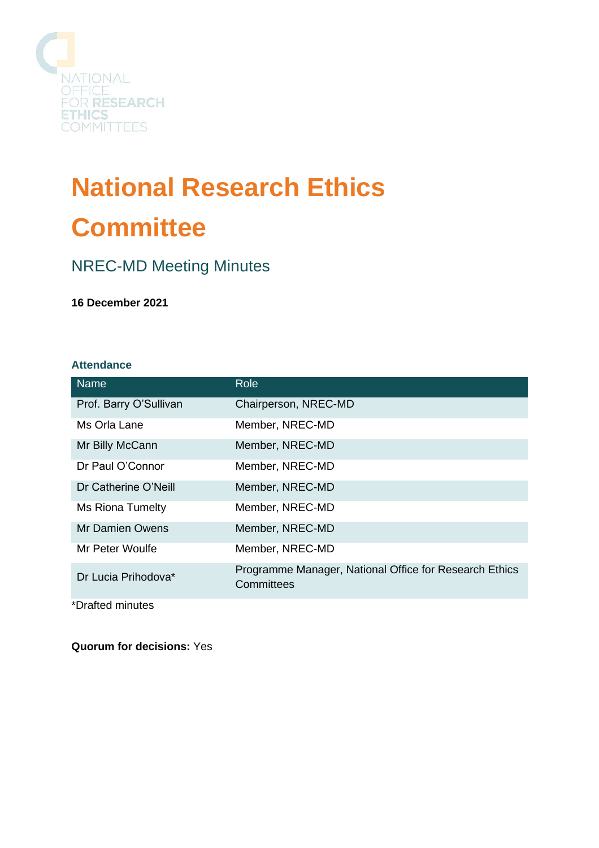

# **National Research Ethics Committee**

## NREC-MD Meeting Minutes

**16 December 2021**

## **Attendance**

| <b>Name</b>            | <b>Role</b>                                                          |
|------------------------|----------------------------------------------------------------------|
| Prof. Barry O'Sullivan | Chairperson, NREC-MD                                                 |
| Ms Orla Lane           | Member, NREC-MD                                                      |
| Mr Billy McCann        | Member, NREC-MD                                                      |
| Dr Paul O'Connor       | Member, NREC-MD                                                      |
| Dr Catherine O'Neill   | Member, NREC-MD                                                      |
| Ms Riona Tumelty       | Member, NREC-MD                                                      |
| Mr Damien Owens        | Member, NREC-MD                                                      |
| Mr Peter Woulfe        | Member, NREC-MD                                                      |
| Dr Lucia Prihodova*    | Programme Manager, National Office for Research Ethics<br>Committees |
| *Drafted minutes       |                                                                      |

**Quorum for decisions:** Yes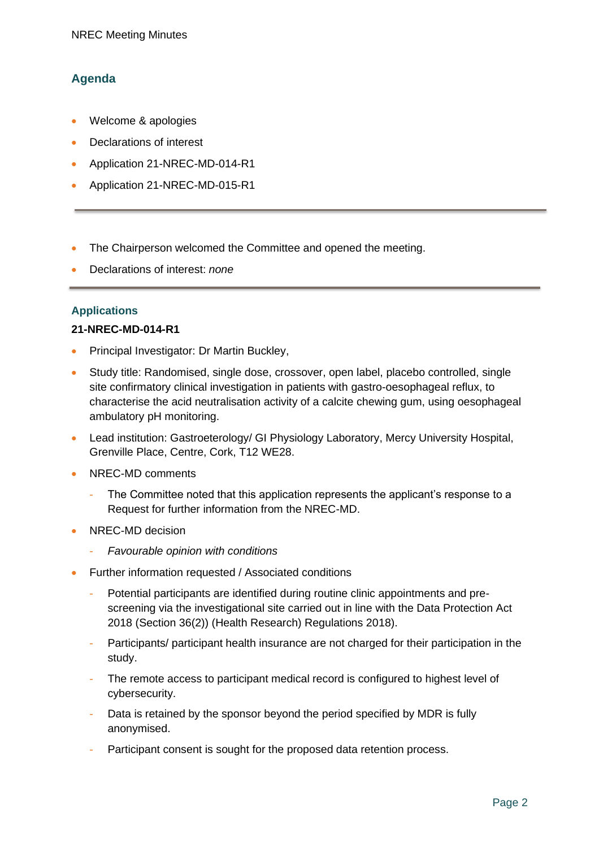## **Agenda**

- Welcome & apologies
- Declarations of interest
- Application 21-NREC-MD-014-R1
- Application 21-NREC-MD-015-R1
- The Chairperson welcomed the Committee and opened the meeting.
- Declarations of interest: *none*

## **Applications**

#### **21-NREC-MD-014-R1**

- Principal Investigator: Dr Martin Buckley,
- Study title: Randomised, single dose, crossover, open label, placebo controlled, single site confirmatory clinical investigation in patients with gastro-oesophageal reflux, to characterise the acid neutralisation activity of a calcite chewing gum, using oesophageal ambulatory pH monitoring.
- Lead institution: Gastroeterology/ GI Physiology Laboratory, Mercy University Hospital, Grenville Place, Centre, Cork, T12 WE28.
- NREC-MD comments
	- The Committee noted that this application represents the applicant's response to a Request for further information from the NREC-MD.
- NREC-MD decision
	- *Favourable opinion with conditions*
- Further information requested / Associated conditions
	- Potential participants are identified during routine clinic appointments and prescreening via the investigational site carried out in line with the Data Protection Act 2018 (Section 36(2)) (Health Research) Regulations 2018).
	- Participants/ participant health insurance are not charged for their participation in the study.
	- The remote access to participant medical record is configured to highest level of cybersecurity.
	- Data is retained by the sponsor beyond the period specified by MDR is fully anonymised.
	- Participant consent is sought for the proposed data retention process.